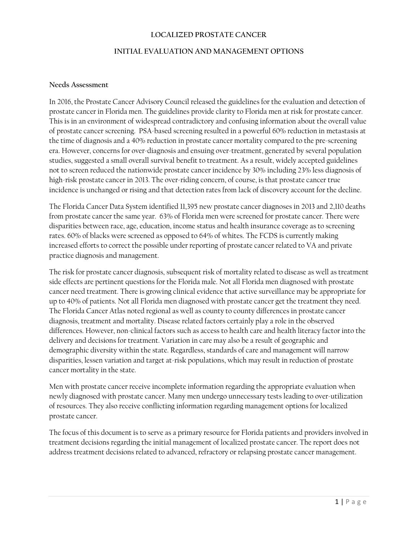#### **LOCALIZED PROSTATE CANCER**

#### **INITIAL EVALUATION AND MANAGEMENT OPTIONS**

#### **Needs Assessment**

In 2016, the Prostate Cancer Advisory Council released the guidelines for the evaluation and detection of prostate cancer in Florida men. The guidelines provide clarity to Florida men at risk for prostate cancer. This is in an environment of widespread contradictory and confusing information about the overall value of prostate cancer screening. PSA-based screening resulted in a powerful 60% reduction in metastasis at the time of diagnosis and a 40% reduction in prostate cancer mortality compared to the pre-screening era. However, concerns for over-diagnosis and ensuing over-treatment, generated by several population studies, suggested a small overall survival benefit to treatment. As a result, widely accepted guidelines not to screen reduced the nationwide prostate cancer incidence by 30% including 23% less diagnosis of high-risk prostate cancer in 2013. The over-riding concern, of course, is that prostate cancer true incidence is unchanged or rising and that detection rates from lack of discovery account for the decline.

The Florida Cancer Data System identified 11,395 new prostate cancer diagnoses in 2013 and 2,110 deaths from prostate cancer the same year. 63% of Florida men were screened for prostate cancer. There were disparities between race, age, education, income status and health insurance coverage as to screening rates. 60% of blacks were screened as opposed to 64% of whites. The FCDS is currently making increased efforts to correct the possible under reporting of prostate cancer related to VA and private practice diagnosis and management.

The risk for prostate cancer diagnosis, subsequent risk of mortality related to disease as well as treatment side effects are pertinent questions for the Florida male. Not all Florida men diagnosed with prostate cancer need treatment. There is growing clinical evidence that active surveillance may be appropriate for up to 40% of patients. Not all Florida men diagnosed with prostate cancer get the treatment they need. The Florida Cancer Atlas noted regional as well as county to county differences in prostate cancer diagnosis, treatment and mortality. Disease related factors certainly play a role in the observed differences. However, non-clinical factors such as access to health care and health literacy factor into the delivery and decisions for treatment. Variation in care may also be a result of geographic and demographic diversity within the state. Regardless, standards of care and management will narrow disparities, lessen variation and target at-risk populations, which may result in reduction of prostate cancer mortality in the state.

Men with prostate cancer receive incomplete information regarding the appropriate evaluation when newly diagnosed with prostate cancer. Many men undergo unnecessary tests leading to over-utilization of resources. They also receive conflicting information regarding management options for localized prostate cancer.

The focus of this document is to serve as a primary resource for Florida patients and providers involved in treatment decisions regarding the initial management of localized prostate cancer. The report does not address treatment decisions related to advanced, refractory or relapsing prostate cancer management.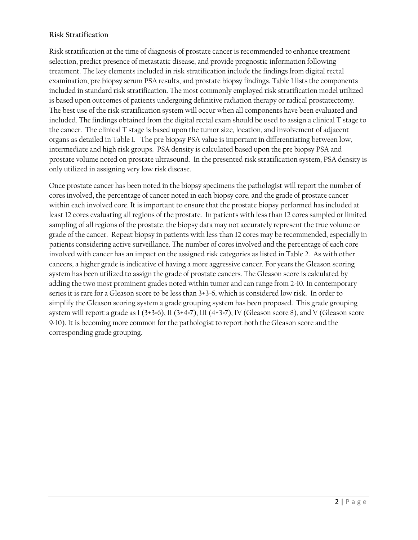# **Risk Stratification**

Risk stratification at the time of diagnosis of prostate cancer is recommended to enhance treatment selection, predict presence of metastatic disease, and provide prognostic information following treatment. The key elements included in risk stratification include the findings from digital rectal examination, pre biopsy serum PSA results, and prostate biopsy findings. Table 1 lists the components included in standard risk stratification. The most commonly employed risk stratification model utilized is based upon outcomes of patients undergoing definitive radiation therapy or radical prostatectomy. The best use of the risk stratification system will occur when all components have been evaluated and included. The findings obtained from the digital rectal exam should be used to assign a clinical T stage to the cancer. The clinical T stage is based upon the tumor size, location, and involvement of adjacent organs as detailed in Table 1. The pre biopsy PSA value is important in differentiating between low, intermediate and high risk groups. PSA density is calculated based upon the pre biopsy PSA and prostate volume noted on prostate ultrasound. In the presented risk stratification system, PSA density is only utilized in assigning very low risk disease.

Once prostate cancer has been noted in the biopsy specimens the pathologist will report the number of cores involved, the percentage of cancer noted in each biopsy core, and the grade of prostate cancer within each involved core. It is important to ensure that the prostate biopsy performed has included at least 12 cores evaluating all regions of the prostate. In patients with less than 12 cores sampled or limited sampling of all regions of the prostate, the biopsy data may not accurately represent the true volume or grade of the cancer. Repeat biopsy in patients with less than 12 cores may be recommended, especially in patients considering active surveillance. The number of cores involved and the percentage of each core involved with cancer has an impact on the assigned risk categories as listed in Table 2. As with other cancers, a higher grade is indicative of having a more aggressive cancer. For years the Gleason scoring system has been utilized to assign the grade of prostate cancers. The Gleason score is calculated by adding the two most prominent grades noted within tumor and can range from 2-10. In contemporary series it is rare for a Gleason score to be less than 3+3=6, which is considered low risk. In order to simplify the Gleason scoring system a grade grouping system has been proposed. This grade grouping system will report a grade as I (3+3=6), II (3+4=7), III (4+3=7), IV (Gleason score 8), and V (Gleason score 9-10). It is becoming more common for the pathologist to report both the Gleason score and the corresponding grade grouping.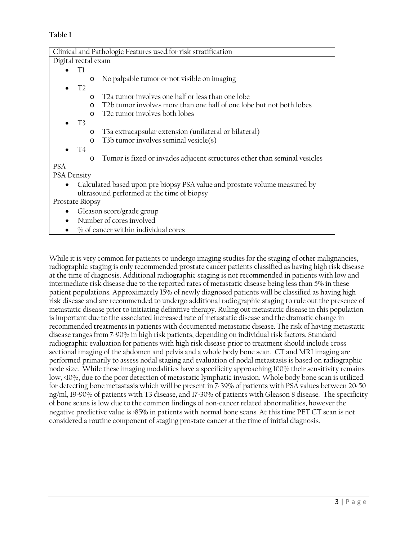# **Table 1**

| Clinical and Pathologic Features used for risk stratification                        |  |  |
|--------------------------------------------------------------------------------------|--|--|
| Digital rectal exam                                                                  |  |  |
| Tl                                                                                   |  |  |
| No palpable tumor or not visible on imaging<br>$\circ$                               |  |  |
| $\bullet$ T <sub>2</sub>                                                             |  |  |
| T <sub>2</sub> tumor involves one half or less than one lobe<br>$\Omega$             |  |  |
| T2b tumor involves more than one half of one lobe but not both lobes<br>$\Omega$     |  |  |
| T <sub>2</sub> c tumor involves both lobes<br>$\Omega$                               |  |  |
| $\bullet$ T3                                                                         |  |  |
| T3a extracapsular extension (unilateral or bilateral)<br>$\circ$                     |  |  |
| T3b tumor involves seminal vesicle(s)<br>$\circ$                                     |  |  |
| <b>T4</b>                                                                            |  |  |
| Tumor is fixed or invades adjacent structures other than seminal vesicles<br>$\circ$ |  |  |
| <b>PSA</b>                                                                           |  |  |
| <b>PSA Density</b>                                                                   |  |  |
| Calculated based upon pre biopsy PSA value and prostate volume measured by           |  |  |
| ultrasound performed at the time of biopsy                                           |  |  |
| Prostate Biopsy                                                                      |  |  |
| Gleason score/grade group<br>$\bullet$                                               |  |  |
| Number of cores involved                                                             |  |  |
| % of cancer within individual cores                                                  |  |  |

While it is very common for patients to undergo imaging studies for the staging of other malignancies, radiographic staging is only recommended prostate cancer patients classified as having high risk disease at the time of diagnosis. Additional radiographic staging is not recommended in patients with low and intermediate risk disease due to the reported rates of metastatic disease being less than 5% in these patient populations. Approximately 15% of newly diagnosed patients will be classified as having high risk disease and are recommended to undergo additional radiographic staging to rule out the presence of metastatic disease prior to initiating definitive therapy. Ruling out metastatic disease in this population is important due to the associated increased rate of metastatic disease and the dramatic change in recommended treatments in patients with documented metastatic disease. The risk of having metastatic disease ranges from 7-90% in high risk patients, depending on individual risk factors. Standard radiographic evaluation for patients with high risk disease prior to treatment should include cross sectional imaging of the abdomen and pelvis and a whole body bone scan. CT and MRI imaging are performed primarily to assess nodal staging and evaluation of nodal metastasis is based on radiographic node size. While these imaging modalities have a specificity approaching 100% their sensitivity remains low, <10%, due to the poor detection of metastatic lymphatic invasion. Whole body bone scan is utilized for detecting bone metastasis which will be present in 7-39% of patients with PSA values between 20-50 ng/ml, 19-90% of patients with T3 disease, and 17-30% of patients with Gleason 8 disease. The specificity of bone scans is low due to the common findings of non-cancer related abnormalities, however the negative predictive value is >85% in patients with normal bone scans. At this time PET CT scan is not considered a routine component of staging prostate cancer at the time of initial diagnosis.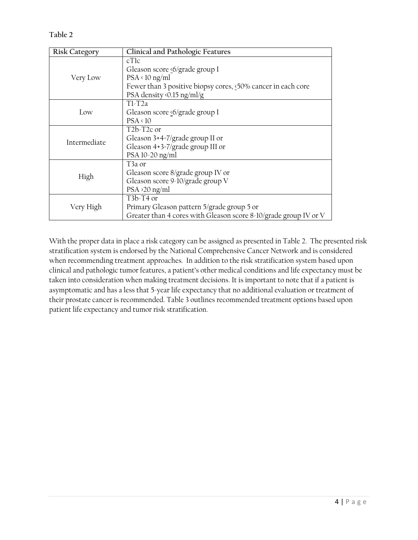**Table 2**

| <b>Risk Category</b> | Clinical and Pathologic Features                                                                                                                                                 |
|----------------------|----------------------------------------------------------------------------------------------------------------------------------------------------------------------------------|
| Very Low             | cT <sub>1</sub> c<br>Gleason score <6/grade group I<br>$PSA \triangleleft 10$ ng/ml<br>Fewer than 3 positive biopsy cores, <50% cancer in each core<br>PSA density <0.15 ng/ml/g |
| Low                  | $T1-T2a$<br>Gleason score <6/grade group I<br>$PSA \triangleleft 10$                                                                                                             |
| Intermediate         | T <sub>2</sub> b-T <sub>2</sub> c or<br>Gleason 3+4=7/grade group II or<br>Gleason 4+3=7/grade group III or<br>PSA 10-20 ng/ml                                                   |
| High                 | $T3a$ or<br>Gleason score 8/grade group IV or<br>Gleason score 9-10/grade group V<br>$PSA > 20$ ng/ml                                                                            |
| Very High            | $T3b-T4$ or<br>Primary Gleason pattern 5/grade group 5 or<br>Greater than 4 cores with Gleason score 8-10/grade group IV or V                                                    |

With the proper data in place a risk category can be assigned as presented in Table 2. The presented risk stratification system is endorsed by the National Comprehensive Cancer Network and is considered when recommending treatment approaches. In addition to the risk stratification system based upon clinical and pathologic tumor features, a patient's other medical conditions and life expectancy must be taken into consideration when making treatment decisions. It is important to note that if a patient is asymptomatic and has a less that 5-year life expectancy that no additional evaluation or treatment of their prostate cancer is recommended. Table 3 outlines recommended treatment options based upon patient life expectancy and tumor risk stratification.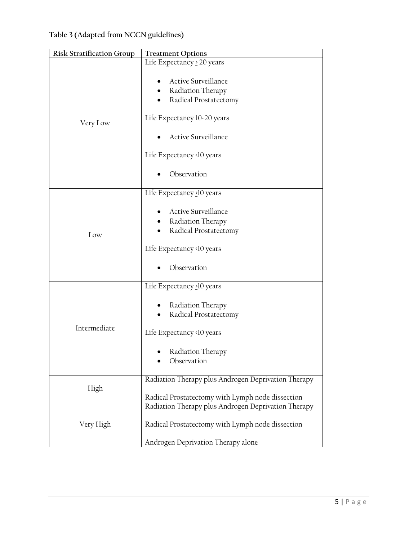| <b>Risk Stratification Group</b> | <b>Treatment Options</b>                                                                       |
|----------------------------------|------------------------------------------------------------------------------------------------|
| Very Low                         | Life Expectancy > 20 years                                                                     |
|                                  | Active Surveillance<br>• Radiation Therapy<br>Radical Prostatectomy                            |
|                                  | Life Expectancy 10-20 years                                                                    |
|                                  | Active Surveillance                                                                            |
|                                  | Life Expectancy <10 years                                                                      |
|                                  | Observation                                                                                    |
|                                  | Life Expectancy >10 years                                                                      |
| Low                              | Active Surveillance<br>Radiation Therapy<br>Radical Prostatectomy<br>Life Expectancy <10 years |
|                                  | Observation                                                                                    |
|                                  | Life Expectancy >10 years                                                                      |
| Intermediate                     | Radiation Therapy<br>Radical Prostatectomy<br>Life Expectancy <10 years                        |
|                                  | Radiation Therapy<br>Observation                                                               |
| High                             | Radiation Therapy plus Androgen Deprivation Therapy                                            |
|                                  | Radical Prostatectomy with Lymph node dissection                                               |
|                                  | Radiation Therapy plus Androgen Deprivation Therapy                                            |
| Very High                        | Radical Prostatectomy with Lymph node dissection                                               |
|                                  | Androgen Deprivation Therapy alone                                                             |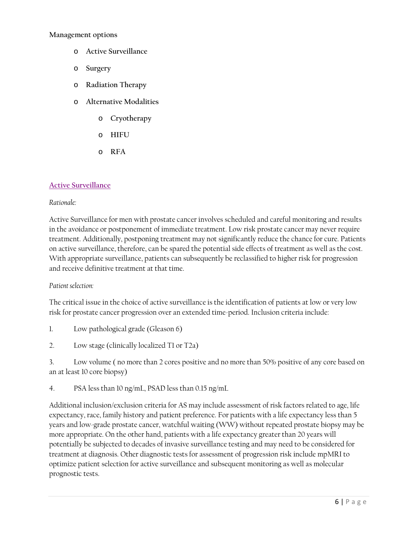#### **Management options**

- o **Active Surveillance**
- o **Surgery**
- o **Radiation Therapy**
- o **Alternative Modalities**
	- o **Cryotherapy**
	- o **HIFU**
	- o **RFA**

### <span id="page-5-0"></span>**[Active Surveillance](#page-12-0)**

#### *Rationale:*

Active Surveillance for men with prostate cancer involves scheduled and careful monitoring and results in the avoidance or postponement of immediate treatment. Low risk prostate cancer may never require treatment. Additionally, postponing treatment may not significantly reduce the chance for cure. Patients on active surveillance, therefore, can be spared the potential side effects of treatment as well as the cost. With appropriate surveillance, patients can subsequently be reclassified to higher risk for progression and receive definitive treatment at that time.

#### *Patient selection:*

The critical issue in the choice of active surveillance is the identification of patients at low or very low risk for prostate cancer progression over an extended time-period. Inclusion criteria include:

- 1. Low pathological grade (Gleason 6)
- 2. Low stage (clinically localized T1 or T2a)

3. Low volume ( no more than 2 cores positive and no more than 50% positive of any core based on an at least 10 core biopsy)

4. PSA less than 10 ng/mL, PSAD less than 0.15 ng/mL

Additional inclusion/exclusion criteria for AS may include assessment of risk factors related to age, life expectancy, race, family history and patient preference. For patients with a life expectancy less than 5 years and low-grade prostate cancer, watchful waiting (WW) without repeated prostate biopsy may be more appropriate. On the other hand, patients with a life expectancy greater than 20 years will potentially be subjected to decades of invasive surveillance testing and may need to be considered for treatment at diagnosis. Other diagnostic tests for assessment of progression risk include mpMRI to optimize patient selection for active surveillance and subsequent monitoring as well as molecular prognostic tests.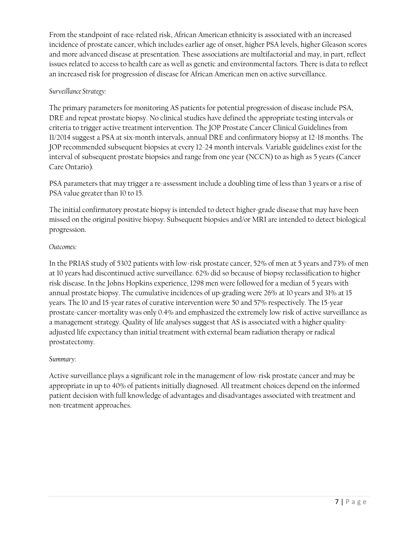From the standpoint of race-related risk, African American ethnicity is associated with an increased incidence of prostate cancer, which includes earlier age of onset, higher PSA levels, higher Gleason scores and more advanced disease at presentation. These associations are multifactorial and may, in part, reflect issues related to access to health care as well as genetic and environmental factors. There is data to reflect an increased risk for progression of disease for African American men on active surveillance.

# *Surveillance Strategy:*

The primary parameters for monitoring AS patients for potential progression of disease include PSA, DRE and repeat prostate biopsy. No clinical studies have defined the appropriate testing intervals or criteria to trigger active treatment intervention. The JOP Prostate Cancer Clinical Guidelines from 11/2014 suggest a PSA at six-month intervals, annual DRE and confirmatory biopsy at 12-18 months. The JOP recommended subsequent biopsies at every 12-24 month intervals. Variable guidelines exist for the interval of subsequent prostate biopsies and range from one year (NCCN) to as high as 5 years (Cancer Care Ontario).

PSA parameters that may trigger a re-assessment include a doubling time of less than 3 years or a rise of PSA value greater than 10 to 15.

The initial confirmatory prostate biopsy is intended to detect higher-grade disease that may have been missed on the original positive biopsy. Subsequent biopsies and/or MRI are intended to detect biological progression.

# *Outcomes:*

In the PRIAS study of 5302 patients with low-risk prostate cancer, 52% of men at 5 years and 73% of men at 10 years had discontinued active surveillance. 62% did so because of biopsy reclassification to higher risk disease. In the Johns Hopkins experience, 1298 men were followed for a median of 5 years with annual prostate biopsy. The cumulative incidences of up-grading were 26% at 10 years and 31% at 15 years. The 10 and 15-year rates of curative intervention were 50 and 57% respectively. The 15-year prostate-cancer-mortality was only 0.4% and emphasized the extremely low risk of active surveillance as a management strategy. Quality of life analyses suggest that AS is associated with a higher qualityadjusted life expectancy than initial treatment with external beam radiation therapy or radical prostatectomy.

# *Summary:*

Active surveillance plays a significant role in the management of low-risk prostate cancer and may be appropriate in up to 40% of patients initially diagnosed. All treatment choices depend on the informed patient decision with full knowledge of advantages and disadvantages associated with treatment and non-treatment approaches.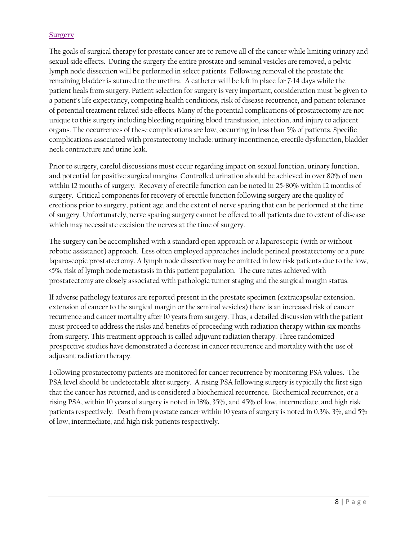## <span id="page-7-0"></span>**[Surgery](#page-12-1)**

The goals of surgical therapy for prostate cancer are to remove all of the cancer while limiting urinary and sexual side effects. During the surgery the entire prostate and seminal vesicles are removed, a pelvic lymph node dissection will be performed in select patients. Following removal of the prostate the remaining bladder is sutured to the urethra. A catheter will be left in place for 7-14 days while the patient heals from surgery. Patient selection for surgery is very important, consideration must be given to a patient's life expectancy, competing health conditions, risk of disease recurrence, and patient tolerance of potential treatment related side effects. Many of the potential complications of prostatectomy are not unique to this surgery including bleeding requiring blood transfusion, infection, and injury to adjacent organs. The occurrences of these complications are low, occurring in less than 5% of patients. Specific complications associated with prostatectomy include: urinary incontinence, erectile dysfunction, bladder neck contracture and urine leak.

Prior to surgery, careful discussions must occur regarding impact on sexual function, urinary function, and potential for positive surgical margins. Controlled urination should be achieved in over 80% of men within 12 months of surgery. Recovery of erectile function can be noted in 25-80% within 12 months of surgery. Critical components for recovery of erectile function following surgery are the quality of erections prior to surgery, patient age, and the extent of nerve sparing that can be performed at the time of surgery. Unfortunately, nerve sparing surgery cannot be offered to all patients due to extent of disease which may necessitate excision the nerves at the time of surgery.

The surgery can be accomplished with a standard open approach or a laparoscopic (with or without robotic assistance) approach. Less often employed approaches include perineal prostatectomy or a pure laparoscopic prostatectomy. A lymph node dissection may be omitted in low risk patients due to the low, <5%, risk of lymph node metastasis in this patient population. The cure rates achieved with prostatectomy are closely associated with pathologic tumor staging and the surgical margin status.

If adverse pathology features are reported present in the prostate specimen (extracapsular extension, extension of cancer to the surgical margin or the seminal vesicles) there is an increased risk of cancer recurrence and cancer mortality after 10 years from surgery. Thus, a detailed discussion with the patient must proceed to address the risks and benefits of proceeding with radiation therapy within six months from surgery. This treatment approach is called adjuvant radiation therapy. Three randomized prospective studies have demonstrated a decrease in cancer recurrence and mortality with the use of adjuvant radiation therapy.

Following prostatectomy patients are monitored for cancer recurrence by monitoring PSA values. The PSA level should be undetectable after surgery. A rising PSA following surgery is typically the first sign that the cancer has returned, and is considered a biochemical recurrence. Biochemical recurrence, or a rising PSA, within 10 years of surgery is noted in 18%, 35%, and 45% of low, intermediate, and high risk patients respectively. Death from prostate cancer within 10 years of surgery is noted in 0.3%, 3%, and 5% of low, intermediate, and high risk patients respectively.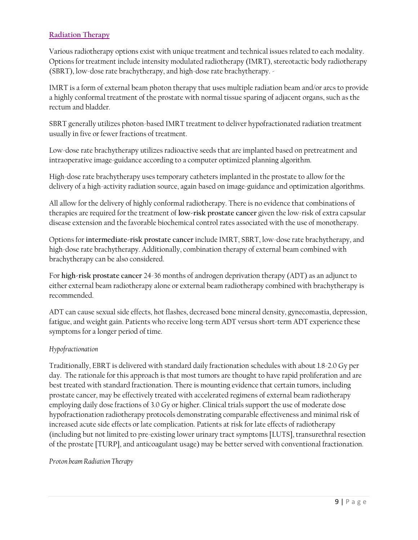# <span id="page-8-0"></span>**[Radiation Therapy](#page-13-0)**

Various radiotherapy options exist with unique treatment and technical issues related to each modality. Options for treatment include intensity modulated radiotherapy (IMRT), stereotactic body radiotherapy (SBRT), low-dose rate brachytherapy, and high-dose rate brachytherapy. -

IMRT is a form of external beam photon therapy that uses multiple radiation beam and/or arcs to provide a highly conformal treatment of the prostate with normal tissue sparing of adjacent organs, such as the rectum and bladder.

SBRT generally utilizes photon-based IMRT treatment to deliver hypofractionated radiation treatment usually in five or fewer fractions of treatment.

Low-dose rate brachytherapy utilizes radioactive seeds that are implanted based on pretreatment and intraoperative image-guidance according to a computer optimized planning algorithm.

High-dose rate brachytherapy uses temporary catheters implanted in the prostate to allow for the delivery of a high-activity radiation source, again based on image-guidance and optimization algorithms.

All allow for the delivery of highly conformal radiotherapy. There is no evidence that combinations of therapies are required for the treatment of **low-risk prostate cancer** given the low-risk of extra capsular disease extension and the favorable biochemical control rates associated with the use of monotherapy.

Options for **intermediate-risk prostate cancer** include IMRT, SBRT, low-dose rate brachytherapy, and high-dose rate brachytherapy. Additionally, combination therapy of external beam combined with brachytherapy can be also considered.

For **high-risk prostate cancer** 24-36 months of androgen deprivation therapy (ADT) as an adjunct to either external beam radiotherapy alone or external beam radiotherapy combined with brachytherapy is recommended.

ADT can cause sexual side effects, hot flashes, decreased bone mineral density, gynecomastia, depression, fatigue, and weight gain. Patients who receive long-term ADT versus short-term ADT experience these symptoms for a longer period of time.

## *Hypofractionation*

Traditionally, EBRT is delivered with standard daily fractionation schedules with about 1.8-2.0 Gy per day. The rationale for this approach is that most tumors are thought to have rapid proliferation and are best treated with standard fractionation. There is mounting evidence that certain tumors, including prostate cancer, may be effectively treated with accelerated regimens of external beam radiotherapy employing daily dose fractions of 3.0 Gy or higher. Clinical trials support the use of moderate dose hypofractionation radiotherapy protocols demonstrating comparable effectiveness and minimal risk of increased acute side effects or late complication. Patients at risk for late effects of radiotherapy (including but not limited to pre-existing lower urinary tract symptoms [LUTS], transurethral resection of the prostate [TURP], and anticoagulant usage) may be better served with conventional fractionation.

## *Proton beam Radiation Therapy*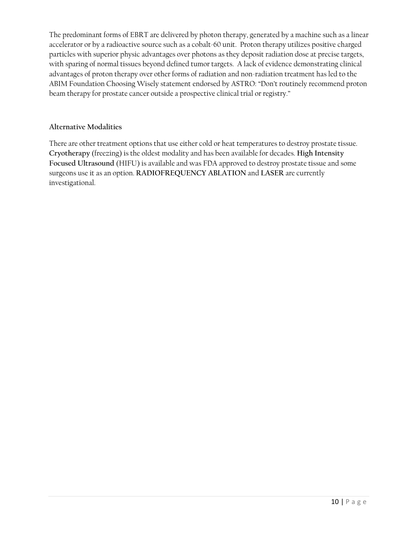The predominant forms of EBRT are delivered by photon therapy, generated by a machine such as a linear accelerator or by a radioactive source such as a cobalt-60 unit. Proton therapy utilizes positive charged particles with superior physic advantages over photons as they deposit radiation dose at precise targets, with sparing of normal tissues beyond defined tumor targets. A lack of evidence demonstrating clinical advantages of proton therapy over other forms of radiation and non-radiation treatment has led to the ABIM Foundation Choosing Wisely statement endorsed by ASTRO: "Don't routinely recommend proton beam therapy for prostate cancer outside a prospective clinical trial or registry."

## **Alternative Modalities**

There are other treatment options that use either cold or heat temperatures to destroy prostate tissue. **Cryotherapy** (freezing) is the oldest modality and has been available for decades. **High Intensity Focused Ultrasound** (HIFU) is available and was FDA approved to destroy prostate tissue and some surgeons use it as an option. **RADIOFREQUENCY ABLATION** and **LASER** are currently investigational.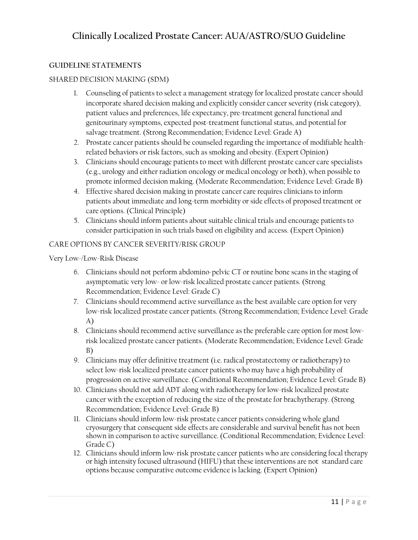# **GUIDELINE STATEMENTS**

# SHARED DECISION MAKING (SDM)

- 1. Counseling of patients to select a management strategy for localized prostate cancer should incorporate shared decision making and explicitly consider cancer severity (risk category), patient values and preferences, life expectancy, pre-treatment general functional and genitourinary symptoms, expected post-treatment functional status, and potential for salvage treatment. (Strong Recommendation; Evidence Level: Grade A)
- 2. Prostate cancer patients should be counseled regarding the importance of modifiable healthrelated behaviors or risk factors, such as smoking and obesity. (Expert Opinion)
- 3. Clinicians should encourage patients to meet with different prostate cancer care specialists (e.g., urology and either radiation oncology or medical oncology or both), when possible to promote informed decision making. (Moderate Recommendation; Evidence Level: Grade B)
- 4. Effective shared decision making in prostate cancer care requires clinicians to inform patients about immediate and long-term morbidity or side effects of proposed treatment or care options. (Clinical Principle)
- 5. Clinicians should inform patients about suitable clinical trials and encourage patients to consider participation in such trials based on eligibility and access. (Expert Opinion)

# CARE OPTIONS BY CANCER SEVERITY/RISK GROUP

# Very Low-/Low-Risk Disease

- 6. Clinicians should not perform abdomino-pelvic CT or routine bone scans in the staging of asymptomatic very low- or low-risk localized prostate cancer patients. (Strong Recommendation; Evidence Level: Grade C)
- 7. Clinicians should recommend active surveillance as the best available care option for very low-risk localized prostate cancer patients. (Strong Recommendation; Evidence Level: Grade A)
- 8. Clinicians should recommend active surveillance as the preferable care option for most lowrisk localized prostate cancer patients. (Moderate Recommendation; Evidence Level: Grade B)
- 9. Clinicians may offer definitive treatment (i.e. radical prostatectomy or radiotherapy) to select low-risk localized prostate cancer patients who may have a high probability of progression on active surveillance. (Conditional Recommendation; Evidence Level: Grade B)
- 10. Clinicians should not add ADT along with radiotherapy for low-risk localized prostate cancer with the exception of reducing the size of the prostate for brachytherapy. (Strong Recommendation; Evidence Level: Grade B)
- 11. Clinicians should inform low-risk prostate cancer patients considering whole gland cryosurgery that consequent side effects are considerable and survival benefit has not been shown in comparison to active surveillance. (Conditional Recommendation; Evidence Level: Grade C)
- 12. Clinicians should inform low-risk prostate cancer patients who are considering focal therapy or high intensity focused ultrasound (HIFU) that these interventions are not standard care options because comparative outcome evidence is lacking. (Expert Opinion)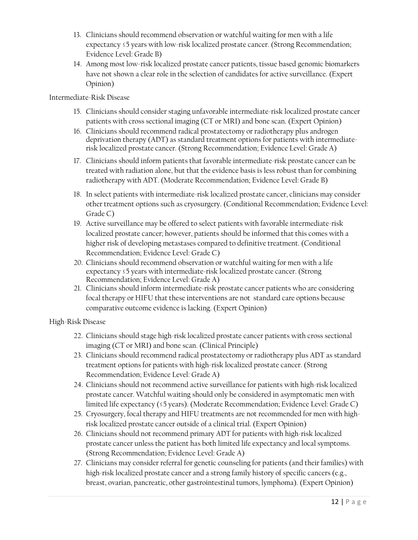- 13. Clinicians should recommend observation or watchful waiting for men with a life expectancy ≤5 years with low-risk localized prostate cancer. (Strong Recommendation; Evidence Level: Grade B)
- 14. Among most low-risk localized prostate cancer patients, tissue based genomic biomarkers have not shown a clear role in the selection of candidates for active surveillance. (Expert Opinion)

# Intermediate-Risk Disease

- 15. Clinicians should consider staging unfavorable intermediate-risk localized prostate cancer patients with cross sectional imaging (CT or MRI) and bone scan. (Expert Opinion)
- 16. Clinicians should recommend radical prostatectomy or radiotherapy plus androgen deprivation therapy (ADT) as standard treatment options for patients with intermediaterisk localized prostate cancer. (Strong Recommendation; Evidence Level: Grade A)
- 17. Clinicians should inform patients that favorable intermediate-risk prostate cancer can be treated with radiation alone, but that the evidence basis is less robust than for combining radiotherapy with ADT. (Moderate Recommendation; Evidence Level: Grade B)
- 18. In select patients with intermediate-risk localized prostate cancer, clinicians may consider other treatment options such as cryosurgery. (Conditional Recommendation; Evidence Level: Grade C)
- 19. Active surveillance may be offered to select patients with favorable intermediate-risk localized prostate cancer; however, patients should be informed that this comes with a higher risk of developing metastases compared to definitive treatment. (Conditional Recommendation; Evidence Level: Grade C)
- 20. Clinicians should recommend observation or watchful waiting for men with a life expectancy ≤5 years with intermediate-risk localized prostate cancer. (Strong Recommendation; Evidence Level: Grade A)
- 21. Clinicians should inform intermediate-risk prostate cancer patients who are considering focal therapy or HIFU that these interventions are not standard care options because comparative outcome evidence is lacking. (Expert Opinion)

## High-Risk Disease

- 22. Clinicians should stage high-risk localized prostate cancer patients with cross sectional imaging (CT or MRI) and bone scan. (Clinical Principle)
- 23. Clinicians should recommend radical prostatectomy or radiotherapy plus ADT as standard treatment options for patients with high-risk localized prostate cancer. (Strong Recommendation; Evidence Level: Grade A)
- 24. Clinicians should not recommend active surveillance for patients with high-risk localized prostate cancer. Watchful waiting should only be considered in asymptomatic men with limited life expectancy (≤5 years). (Moderate Recommendation; Evidence Level: Grade C)
- 25. Cryosurgery, focal therapy and HIFU treatments are not recommended for men with highrisk localized prostate cancer outside of a clinical trial. (Expert Opinion)
- 26. Clinicians should not recommend primary ADT for patients with high-risk localized prostate cancer unless the patient has both limited life expectancy and local symptoms. (Strong Recommendation; Evidence Level: Grade A)
- 27. Clinicians may consider referral for genetic counseling for patients (and their families) with high-risk localized prostate cancer and a strong family history of specific cancers (e.g., breast, ovarian, pancreatic, other gastrointestinal tumors, lymphoma). (Expert Opinion)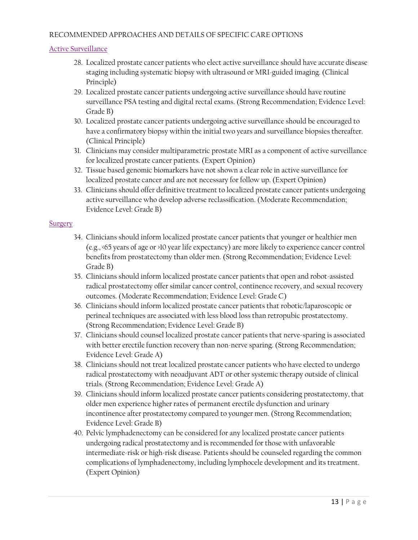### RECOMMENDED APPROACHES AND DETAILS OF SPECIFIC CARE OPTIONS

### <span id="page-12-0"></span>[Active Surveillance](#page-5-0)

- 28. Localized prostate cancer patients who elect active surveillance should have accurate disease staging including systematic biopsy with ultrasound or MRI-guided imaging. (Clinical Principle)
- 29. Localized prostate cancer patients undergoing active surveillance should have routine surveillance PSA testing and digital rectal exams. (Strong Recommendation; Evidence Level: Grade B)
- 30. Localized prostate cancer patients undergoing active surveillance should be encouraged to have a confirmatory biopsy within the initial two years and surveillance biopsies thereafter. (Clinical Principle)
- 31. Clinicians may consider multiparametric prostate MRI as a component of active surveillance for localized prostate cancer patients. (Expert Opinion)
- 32. Tissue based genomic biomarkers have not shown a clear role in active surveillance for localized prostate cancer and are not necessary for follow up. (Expert Opinion)
- 33. Clinicians should offer definitive treatment to localized prostate cancer patients undergoing active surveillance who develop adverse reclassification. (Moderate Recommendation; Evidence Level: Grade B)

#### <span id="page-12-1"></span>**[Surgery](#page-7-0)**

- 34. Clinicians should inform localized prostate cancer patients that younger or healthier men (e.g., <65 years of age or >10 year life expectancy) are more likely to experience cancer control benefits from prostatectomy than older men. (Strong Recommendation; Evidence Level: Grade B)
- 35. Clinicians should inform localized prostate cancer patients that open and robot-assisted radical prostatectomy offer similar cancer control, continence recovery, and sexual recovery outcomes. (Moderate Recommendation; Evidence Level: Grade C)
- 36. Clinicians should inform localized prostate cancer patients that robotic/laparoscopic or perineal techniques are associated with less blood loss than retropubic prostatectomy. (Strong Recommendation; Evidence Level: Grade B)
- 37. Clinicians should counsel localized prostate cancer patients that nerve-sparing is associated with better erectile function recovery than non-nerve sparing. (Strong Recommendation; Evidence Level: Grade A)
- 38. Clinicians should not treat localized prostate cancer patients who have elected to undergo radical prostatectomy with neoadjuvant ADT or other systemic therapy outside of clinical trials. (Strong Recommendation; Evidence Level: Grade A)
- 39. Clinicians should inform localized prostate cancer patients considering prostatectomy, that older men experience higher rates of permanent erectile dysfunction and urinary incontinence after prostatectomy compared to younger men. (Strong Recommendation; Evidence Level: Grade B)
- 40. Pelvic lymphadenectomy can be considered for any localized prostate cancer patients undergoing radical prostatectomy and is recommended for those with unfavorable intermediate-risk or high-risk disease. Patients should be counseled regarding the common complications of lymphadenectomy, including lymphocele development and its treatment. (Expert Opinion)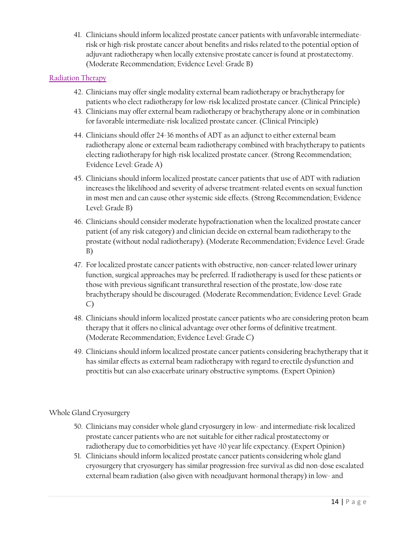41. Clinicians should inform localized prostate cancer patients with unfavorable intermediaterisk or high-risk prostate cancer about benefits and risks related to the potential option of adjuvant radiotherapy when locally extensive prostate cancer is found at prostatectomy. (Moderate Recommendation; Evidence Level: Grade B)

# <span id="page-13-0"></span>[Radiation Therapy](#page-8-0)

- 42. Clinicians may offer single modality external beam radiotherapy or brachytherapy for patients who elect radiotherapy for low-risk localized prostate cancer. (Clinical Principle)
- 43. Clinicians may offer external beam radiotherapy or brachytherapy alone or in combination for favorable intermediate-risk localized prostate cancer. (Clinical Principle)
- 44. Clinicians should offer 24-36 months of ADT as an adjunct to either external beam radiotherapy alone or external beam radiotherapy combined with brachytherapy to patients electing radiotherapy for high-risk localized prostate cancer. (Strong Recommendation; Evidence Level: Grade A)
- 45. Clinicians should inform localized prostate cancer patients that use of ADT with radiation increases the likelihood and severity of adverse treatment-related events on sexual function in most men and can cause other systemic side effects. (Strong Recommendation; Evidence Level: Grade B)
- 46. Clinicians should consider moderate hypofractionation when the localized prostate cancer patient (of any risk category) and clinician decide on external beam radiotherapy to the prostate (without nodal radiotherapy). (Moderate Recommendation; Evidence Level: Grade B)
- 47. For localized prostate cancer patients with obstructive, non-cancer-related lower urinary function, surgical approaches may be preferred. If radiotherapy is used for these patients or those with previous significant transurethral resection of the prostate, low-dose rate brachytherapy should be discouraged. (Moderate Recommendation; Evidence Level: Grade C)
- 48. Clinicians should inform localized prostate cancer patients who are considering proton beam therapy that it offers no clinical advantage over other forms of definitive treatment. (Moderate Recommendation; Evidence Level: Grade C)
- 49. Clinicians should inform localized prostate cancer patients considering brachytherapy that it has similar effects as external beam radiotherapy with regard to erectile dysfunction and proctitis but can also exacerbate urinary obstructive symptoms. (Expert Opinion)

# Whole Gland Cryosurgery

- 50. Clinicians may consider whole gland cryosurgery in low- and intermediate-risk localized prostate cancer patients who are not suitable for either radical prostatectomy or radiotherapy due to comorbidities yet have >10 year life expectancy. (Expert Opinion)
- 51. Clinicians should inform localized prostate cancer patients considering whole gland cryosurgery that cryosurgery has similar progression-free survival as did non-dose escalated external beam radiation (also given with neoadjuvant hormonal therapy) in low- and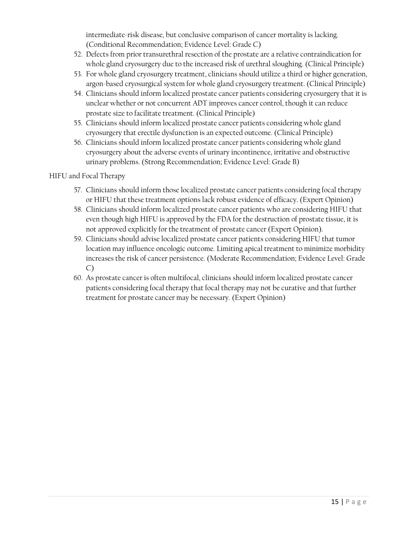intermediate-risk disease, but conclusive comparison of cancer mortality is lacking. (Conditional Recommendation; Evidence Level: Grade C)

- 52. Defects from prior transurethral resection of the prostate are a relative contraindication for whole gland cryosurgery due to the increased risk of urethral sloughing. (Clinical Principle)
- 53. For whole gland cryosurgery treatment, clinicians should utilize a third or higher generation, argon-based cryosurgical system for whole gland cryosurgery treatment. (Clinical Principle)
- 54. Clinicians should inform localized prostate cancer patients considering cryosurgery that it is unclear whether or not concurrent ADT improves cancer control, though it can reduce prostate size to facilitate treatment. (Clinical Principle)
- 55. Clinicians should inform localized prostate cancer patients considering whole gland cryosurgery that erectile dysfunction is an expected outcome. (Clinical Principle)
- 56. Clinicians should inform localized prostate cancer patients considering whole gland cryosurgery about the adverse events of urinary incontinence, irritative and obstructive urinary problems. (Strong Recommendation; Evidence Level: Grade B)

# HIFU and Focal Therapy

- 57. Clinicians should inform those localized prostate cancer patients considering focal therapy or HIFU that these treatment options lack robust evidence of efficacy. (Expert Opinion)
- 58. Clinicians should inform localized prostate cancer patients who are considering HIFU that even though high HIFU is approved by the FDA for the destruction of prostate tissue, it is not approved explicitly for the treatment of prostate cancer (Expert Opinion).
- 59. Clinicians should advise localized prostate cancer patients considering HIFU that tumor location may influence oncologic outcome. Limiting apical treatment to minimize morbidity increases the risk of cancer persistence. (Moderate Recommendation; Evidence Level: Grade C)
- 60. As prostate cancer is often multifocal, clinicians should inform localized prostate cancer patients considering focal therapy that focal therapy may not be curative and that further treatment for prostate cancer may be necessary. (Expert Opinion)